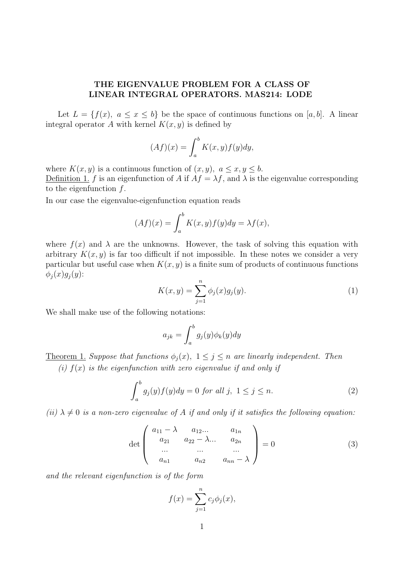## THE EIGENVALUE PROBLEM FOR A CLASS OF LINEAR INTEGRAL OPERATORS. MAS214: LODE

Let  $L = \{f(x), a \leq x \leq b\}$  be the space of continuous functions on [a, b]. A linear integral operator A with kernel  $K(x, y)$  is defined by

$$
(Af)(x) = \int_a^b K(x, y) f(y) dy,
$$

where  $K(x, y)$  is a continuous function of  $(x, y)$ ,  $a \le x, y \le b$ . Definition 1. f is an eigenfunction of A if  $Af = \lambda f$ , and  $\lambda$  is the eigenvalue corresponding to the eigenfunction  $f$ .

In our case the eigenvalue-eigenfunction equation reads

$$
(Af)(x) = \int_a^b K(x, y) f(y) dy = \lambda f(x),
$$

where  $f(x)$  and  $\lambda$  are the unknowns. However, the task of solving this equation with arbitrary  $K(x, y)$  is far too difficult if not impossible. In these notes we consider a very particular but useful case when  $K(x, y)$  is a finite sum of products of continuous functions  $\phi_i(x)g_i(y)$ :

$$
K(x, y) = \sum_{j=1}^{n} \phi_j(x) g_j(y).
$$
 (1)

We shall make use of the following notations:

$$
a_{jk} = \int_{a}^{b} g_j(y)\phi_k(y)dy
$$

<u>Theorem 1.</u> Suppose that functions  $\phi_i(x)$ ,  $1 \leq j \leq n$  are linearly independent. Then (i)  $f(x)$  is the eigenfunction with zero eigenvalue if and only if

$$
\int_{a}^{b} g_j(y)f(y)dy = 0 \text{ for all } j, \ 1 \le j \le n. \tag{2}
$$

(ii)  $\lambda \neq 0$  is a non-zero eigenvalue of A if and only if it satisfies the following equation:

$$
\det \begin{pmatrix} a_{11} - \lambda & a_{12} \dots & a_{1n} \\ a_{21} & a_{22} - \lambda \dots & a_{2n} \\ \dots & \dots & \dots \\ a_{n1} & a_{n2} & a_{nn} - \lambda \end{pmatrix} = 0
$$
 (3)

and the relevant eigenfunction is of the form

$$
f(x) = \sum_{j=1}^{n} c_j \phi_j(x),
$$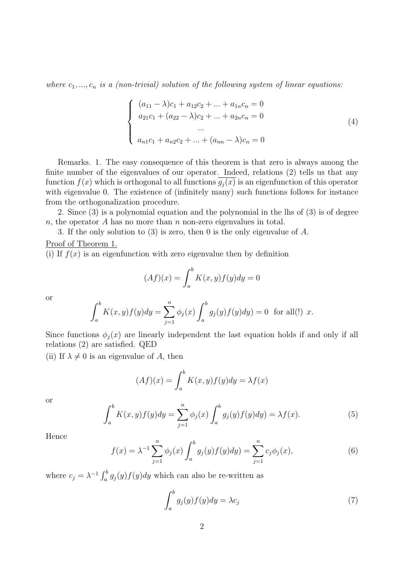where  $c_1, ..., c_n$  is a (non-trivial) solution of the following system of linear equations:

$$
\begin{cases}\n(a_{11} - \lambda)c_1 + a_{12}c_2 + \dots + a_{1n}c_n = 0 \\
a_{21}c_1 + (a_{22} - \lambda)c_2 + \dots + a_{2n}c_n = 0 \\
\vdots \\
a_{n1}c_1 + a_{n2}c_2 + \dots + (a_{nn} - \lambda)c_n = 0\n\end{cases}
$$
\n(4)

Remarks. 1. The easy consequence of this theorem is that zero is always among the finite number of the eigenvalues of our operator. Indeed, relations (2) tells us that any function  $f(x)$  which is orthogonal to all functions  $g_i(x)$  is an eigenfunction of this operator with eigenvalue 0. The existence of (infinitely many) such functions follows for instance from the orthogonalization procedure.

2. Since (3) is a polynomial equation and the polynomial in the lhs of (3) is of degree n, the operator A has no more than n non-zero eigenvalues in total.

3. If the only solution to (3) is zero, then 0 is the only eigenvalue of A.

## Proof of Theorem 1.

(i) If  $f(x)$  is an eigenfunction with zero eigenvalue then by definition

$$
(Af)(x) = \int_a^b K(x, y) f(y) dy = 0
$$

or

$$
\int_{a}^{b} K(x, y) f(y) dy = \sum_{j=1}^{n} \phi_j(x) \int_{a}^{b} g_j(y) f(y) dy = 0 \text{ for all } (!) \ x.
$$

Since functions  $\phi_i(x)$  are linearly independent the last equation holds if and only if all relations (2) are satisfied. QED

(ii) If  $\lambda \neq 0$  is an eigenvalue of A, then

$$
(Af)(x) = \int_{a}^{b} K(x, y)f(y)dy = \lambda f(x)
$$

or

$$
\int_{a}^{b} K(x, y) f(y) dy = \sum_{j=1}^{n} \phi_j(x) \int_{a}^{b} g_j(y) f(y) dy = \lambda f(x).
$$
 (5)

Hence

$$
f(x) = \lambda^{-1} \sum_{j=1}^{n} \phi_j(x) \int_a^b g_j(y) f(y) dy = \sum_{j=1}^{n} c_j \phi_j(x), \tag{6}
$$

where  $c_j = \lambda^{-1} \int_a^b$  $\int_a^b g_j(y) f(y) dy$  which can also be re-written as

$$
\int_{a}^{b} g_j(y)f(y)dy = \lambda c_j \tag{7}
$$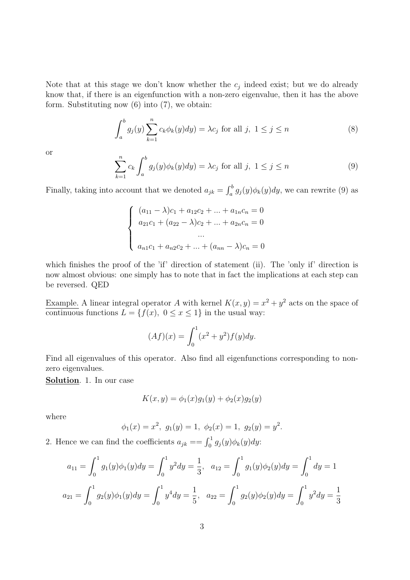Note that at this stage we don't know whether the  $c_j$  indeed exist; but we do already know that, if there is an eigenfunction with a non-zero eigenvalue, then it has the above form. Substituting now (6) into (7), we obtain:

$$
\int_{a}^{b} g_j(y) \sum_{k=1}^{n} c_k \phi_k(y) dy = \lambda c_j \text{ for all } j, 1 \le j \le n
$$
 (8)

or

$$
\sum_{k=1}^{n} c_k \int_{a}^{b} g_j(y) \phi_k(y) dy = \lambda c_j \text{ for all } j, 1 \le j \le n
$$
 (9)

Finally, taking into account that we denoted  $a_{jk} =$  $\int$  $\int_a^b g_j(y)\phi_k(y)dy$ , we can rewrite (9) as

$$
\begin{cases}\n(a_{11} - \lambda)c_1 + a_{12}c_2 + \dots + a_{1n}c_n = 0 \\
a_{21}c_1 + (a_{22} - \lambda)c_2 + \dots + a_{2n}c_n = 0 \\
\vdots \\
a_{n1}c_1 + a_{n2}c_2 + \dots + (a_{nn} - \lambda)c_n = 0\n\end{cases}
$$

which finishes the proof of the 'if' direction of statement (ii). The 'only if' direction is now almost obvious: one simply has to note that in fact the implications at each step can be reversed. QED

Example. A linear integral operator A with kernel  $K(x, y) = x^2 + y^2$  acts on the space of continuous functions  $L = \{f(x), 0 \le x \le 1\}$  in the usual way:

$$
(Af)(x) = \int_0^1 (x^2 + y^2) f(y) dy.
$$

Find all eigenvalues of this operator. Also find all eigenfunctions corresponding to nonzero eigenvalues.

Solution. 1. In our case

$$
K(x, y) = \phi_1(x)g_1(y) + \phi_2(x)g_2(y)
$$

where

$$
\phi_1(x) = x^2
$$
,  $g_1(y) = 1$ ,  $\phi_2(x) = 1$ ,  $g_2(y) = y^2$ .

2. Hence we can find the coefficients  $a_{jk} = -\int_0^1 g_j(y)\phi_k(y)dy$ :

$$
a_{11} = \int_0^1 g_1(y)\phi_1(y)dy = \int_0^1 y^2 dy = \frac{1}{3}, \quad a_{12} = \int_0^1 g_1(y)\phi_2(y)dy = \int_0^1 dy = 1
$$
  

$$
a_{21} = \int_0^1 g_2(y)\phi_1(y)dy = \int_0^1 y^4 dy = \frac{1}{5}, \quad a_{22} = \int_0^1 g_2(y)\phi_2(y)dy = \int_0^1 y^2 dy = \frac{1}{3}
$$